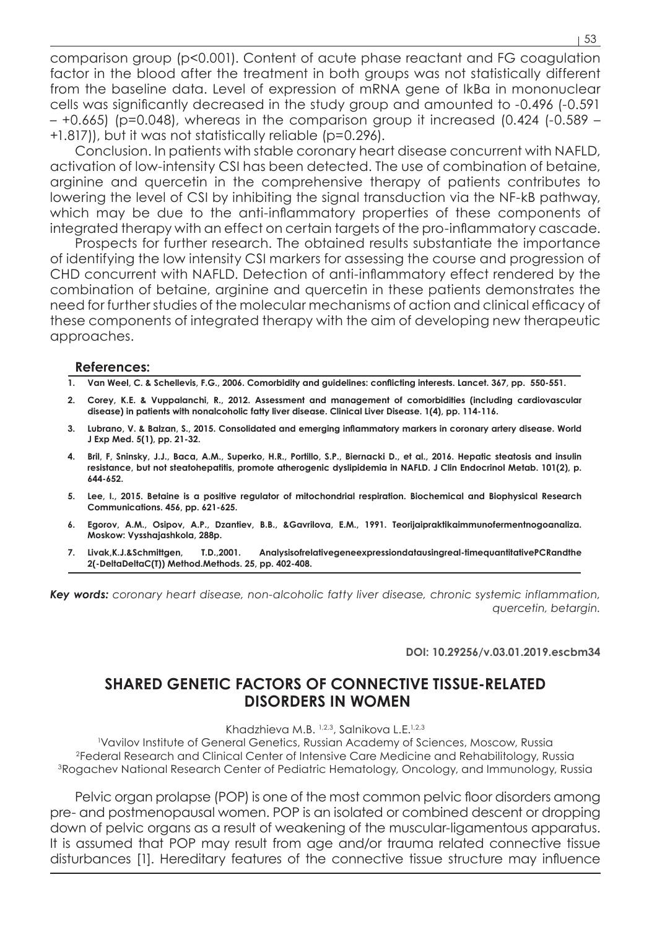comparison group (p<0.001). Content of acute phase reactant and FG coagulation factor in the blood after the treatment in both groups was not statistically different from the baseline data. Level of expression of mRNA gene of IkBα in mononuclear cells was significantly decreased in the study group and amounted to -0.496 (-0.591  $-$  +0.665) (p=0.048), whereas in the comparison group it increased (0.424 (-0.589  $-$ +1.817)), but it was not statistically reliable (p=0.296).

Conclusion. In patients with stable coronary heart disease concurrent with NAFLD, activation of low-intensity CSI has been detected. The use of combination of betaine, arginine and quercetin in the comprehensive therapy of patients contributes to lowering the level of CSI by inhibiting the signal transduction via the NF-kB pathway, which may be due to the anti-inflammatory properties of these components of integrated therapy with an effect on certain targets of the pro-inflammatory cascade.

Prospects for further research. The obtained results substantiate the importance of identifying the low intensity CSI markers for assessing the course and progression of CHD concurrent with NAFLD. Detection of anti-inflammatory effect rendered by the combination of betaine, arginine and quercetin in these patients demonstrates the need for further studies of the molecular mechanisms of action and clinical efficacy of these components of integrated therapy with the aim of developing new therapeutic approaches.

## **References:**

- **1. Van Weel, C. & Schellevis, F.G., 2006. Comorbidity and guidelines: conflicting interests. Lancet. 367, pp. 550-551.**
- **2. Corey, K.E. & Vuppalanchi, R., 2012. Assessment and management of comorbidities (including cardiovascular disease) in patients with nonalcoholic fatty liver disease. Clinical Liver Disease. 1(4), pp. 114-116.**
- **3. Lubrano, V. & Balzan, S., 2015. Consolidated and emerging inflammatory markers in coronary artery disease. World J Exp Med. 5(1), pp. 21-32.**
- **4. Bril, F, Sninsky, J.J., Baca, A.M., Superko, H.R., Portillo, S.P., Biernacki D., et al., 2016. Hepatic steatosis and insulin resistance, but not steatohepatitis, promote atherogenic dyslipidemia in NAFLD. J Clin Endocrinol Metab. 101(2), p. 644-652.**
- **5. Lee, I., 2015. Betaine is a positive regulator of mitochondrial respiration. Biochemical and Biophysical Research Communications. 456, pp. 621-625.**
- **6. Egorov, A.M., Osipov, A.P., Dzantiev, B.B., &Gavrilova, E.M., 1991. Teorijaipraktikaimmunofermentnogoanaliza. Moskow: Vysshajashkola, 288p.**
- **7. Livak,K.J.&Schmittgen, T.D.,2001. Analysisofrelativegeneexpressiondatausingreal-timequantitativePCRandthe 2(-DeltaDeltaC(T)) Method.Methods. 25, pp. 402-408.**

*Key words: coronary heart disease, non-alcoholic fatty liver disease, chronic systemic inflammation, quercetin, betargin.*

**DOI: 10.29256/v.03.01.2019.escbm34**

## **SHARED GENETIC FACTORS OF CONNECTIVE TISSUE-RELATED DISORDERS IN WOMEN**

Khadzhieva M.B. 1,2,3, Salnikova L.E.<sup>1,2,3</sup>

1 Vavilov Institute of General Genetics, Russian Academy of Sciences, Moscow, Russia 2Federal Research and Clinical Center of Intensive Care Medicine and Rehabilitology, Russia 3Rogachev National Research Center of Pediatric Hematology, Oncology, and Immunology, Russia

Pelvic organ prolapse (POP) is one of the most common pelvic floor disorders among pre- and postmenopausal women. POP is an isolated or combined descent or dropping down of pelvic organs as a result of weakening of the muscular-ligamentous apparatus. It is assumed that POP may result from age and/or trauma related connective tissue disturbances [1]. Hereditary features of the connective tissue structure may influence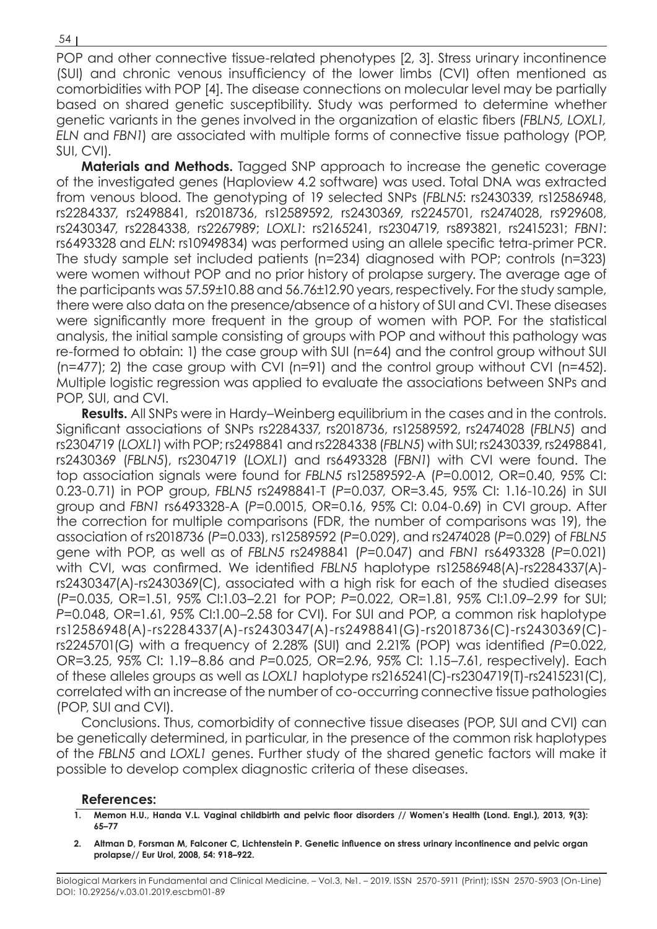POP and other connective tissue-related phenotypes [2, 3]. Stress urinary incontinence (SUI) and chronic venous insufficiency of the lower limbs (CVI) often mentioned as comorbidities with POP [4]. The disease connections on molecular level may be partially based on shared genetic susceptibility. Study was performed to determine whether genetic variants in the genes involved in the organization of elastic fibers (*FBLN5, LOXL1, ELN* and *FBN1*) are associated with multiple forms of connective tissue pathology (POP, SUI, CVI).

**Materials and Methods.** Tagged SNP approach to increase the genetic coverage of the investigated genes (Haploview 4.2 software) was used. Total DNA was extracted from venous blood. The genotyping of 19 selected SNPs (*FBLN5*: rs2430339, rs12586948, rs2284337, rs2498841, rs2018736, rs12589592, rs2430369, rs2245701, rs2474028, rs929608, rs2430347, rs2284338, rs2267989; *LOXL1*: rs2165241, rs2304719, rs893821, rs2415231; *FBN1*: rs6493328 and *ELN*: rs10949834) was performed using an allele specific tetra-primer PCR. The study sample set included patients (n=234) diagnosed with POP; controls (n=323) were women without POP and no prior history of prolapse surgery. The average age of the participants was 57.59±10.88 and 56.76±12.90 years, respectively. For the study sample, there were also data on the presence/absence of a history of SUI and CVI. These diseases were significantly more frequent in the group of women with POP. For the statistical analysis, the initial sample consisting of groups with POP and without this pathology was re-formed to obtain: 1) the case group with SUI (n=64) and the control group without SUI (n=477); 2) the case group with CVI (n=91) and the control group without CVI (n=452). Multiple logistic regression was applied to evaluate the associations between SNPs and POP, SUI, and CVI.

**Results.** All SNPs were in Hardy–Weinberg equilibrium in the cases and in the controls. Significant associations of SNPs rs2284337, rs2018736, rs12589592, rs2474028 (*FBLN5*) and rs2304719 (*LOXL1*) with POP; rs2498841 and rs2284338 (*FBLN5*) with SUI; rs2430339, rs2498841, rs2430369 (*FBLN5*), rs2304719 (*LOXL1*) and rs6493328 (*FBN1*) with CVI were found. The top association signals were found for *FBLN5* rs12589592-A (*P*=0.0012, OR=0.40, 95% CI: 0.23-0.71) in POP group, *FBLN5* rs2498841-T (*P*=0.037, OR=3.45, 95% CI: 1.16-10.26) in SUI group and *FBN1* rs6493328-A (*P*=0.0015, OR=0.16, 95% CI: 0.04-0.69) in CVI group. After the correction for multiple comparisons (FDR, the number of comparisons was 19), the association of rs2018736 (*P*=0.033), rs12589592 (*P*=0.029), and rs2474028 (*P*=0.029) of *FBLN5* gene with POP, as well as of *FBLN5* rs2498841 (*P*=0.047) and *FBN1* rs6493328 (*P*=0.021) with CVI, was confirmed. We identified *FBLN5* haplotype rs12586948(A)-rs2284337(A) rs2430347(A)-rs2430369(C), associated with a high risk for each of the studied diseases (*P*=0.035, OR=1.51, 95% CI:1.03–2.21 for POP; *P*=0.022, OR=1.81, 95% CI:1.09–2.99 for SUI; *P*=0.048, OR=1.61, 95% CI:1.00–2.58 for CVI). For SUI and POP, a common risk haplotype rs12586948(A)-rs2284337(A)-rs2430347(A)-rs2498841(G)-rs2018736(C)-rs2430369(C) rs2245701(G) with a frequency of 2.28% (SUI) and 2.21% (POP) was identified *(P*=0.022, OR=3.25, 95% CI: 1.19–8.86 and *P*=0.025, OR=2.96, 95% CI: 1.15–7.61, respectively). Each of these alleles groups as well as *LOXL1* haplotype rs2165241(C)-rs2304719(T)-rs2415231(C), correlated with an increase of the number of co-occurring connective tissue pathologies (POP, SUI and CVI).

Conclusions. Thus, comorbidity of connective tissue diseases (POP, SUI and CVI) can be genetically determined, in particular, in the presence of the common risk haplotypes of the *FBLN5* and *LOXL1* genes. Further study of the shared genetic factors will make it possible to develop complex diagnostic criteria of these diseases.

## **References:**

- **1. Memon H.U., Handa V.L. Vaginal childbirth and pelvic floor disorders // Women's Health (Lond. Engl.), 2013, 9(3): 65–77**
- **2. Altman D, Forsman M, Falconer C, Lichtenstein P. Genetic influence on stress urinary incontinence and pelvic organ prolapse// Eur Urol, 2008, 54: 918–922.**

Biological Markers in Fundamental and Clinical Medicine. – Vol.3, №1. – 2019. ISSN 2570-5911 (Print); ISSN 2570-5903 (On-Line) DOI: 10.29256/v.03.01.2019.escbm01-89